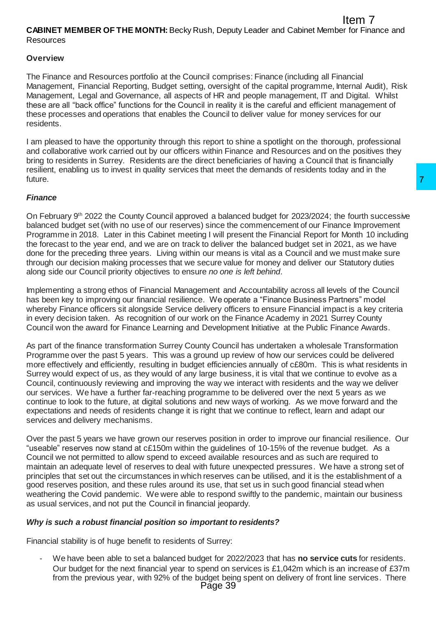## **Overview**

The Finance and Resources portfolio at the Council comprises: Finance (including all Financial Management, Financial Reporting, Budget setting, oversight of the capital programme, Internal Audit), Risk Management, Legal and Governance, all aspects of HR and people management, IT and Digital. Whilst these are all "back office" functions for the Council in reality it is the careful and efficient management of these processes and operations that enables the Council to deliver value for money services for our residents.

I am pleased to have the opportunity through this report to shine a spotlight on the thorough, professional and collaborative work carried out by our officers within Finance and Resources and on the positives they bring to residents in Surrey. Residents are the direct beneficiaries of having a Council that is financially resilient, enabling us to invest in quality services that meet the demands of residents today and in the future.

# *Finance*

On February 9th 2022 the County Council approved a balanced budget for 2023/2024; the fourth successive balanced budget set (with no use of our reserves) since the commencement of our Finance Improvement Programme in 2018. Later in this Cabinet meeting I will present the Financial Report for Month 10 including the forecast to the year end, and we are on track to deliver the balanced budget set in 2021, as we have done for the preceding three years. Living within our means is vital as a Council and we must make sure through our decision making processes that we secure value for money and deliver our Statutory duties along side our Council priority objectives to ensure *no one is left behind*.

Implementing a strong ethos of Financial Management and Accountability across all levels of the Council has been key to improving our financial resilience. We operate a "Finance Business Partners" model whereby Finance officers sit alongside Service delivery officers to ensure Financial impact is a key criteria in every decision taken. As recognition of our work on the Finance Academy in 2021 Surrey County Council won the award for Finance Learning and Development Initiative at the Public Finance Awards.

As part of the finance transformation Surrey County Council has undertaken a wholesale Transformation Programme over the past 5 years. This was a ground up review of how our services could be delivered more effectively and efficiently, resulting in budget efficiencies annually of c£80m. This is what residents in Surrey would expect of us, as they would of any large business, it is vital that we continue to evolve as a Council, continuously reviewing and improving the way we interact with residents and the way we deliver our services. We have a further far-reaching programme to be delivered over the next 5 years as we continue to look to the future, at digital solutions and new ways of working. As we move forward and the expectations and needs of residents change it is right that we continue to reflect, learn and adapt our services and delivery mechanisms. and a balanced budget for 2023/2024; the fourth successive<br>
9) since the commencement of our Finance Improvement<br>
of I will present the Financial Report for Month 10 including<br>
to deliver the balanced budget set in 2021, a

Over the past 5 years we have grown our reserves position in order to improve our financial resilience. Our "useable" reserves now stand at c£150m within the guidelines of 10-15% of the revenue budget. As a Council we not permitted to allow spend to exceed available resources and as such are required to maintain an adequate level of reserves to deal with future unexpected pressures. We have a strong set of principles that set out the circumstances in which reserves can be utilised, and it is the establishment of a good reserves position, and these rules around its use, that set us in such good financial stead when weathering the Covid pandemic. We were able to respond swiftly to the pandemic, maintain our business as usual services, and not put the Council in financial jeopardy.

# *Why is such a robust financial position so important to residents?*

Financial stability is of huge benefit to residents of Surrey:

- We have been able to set a balanced budget for 2022/2023 that has **no service cuts** for residents. Our budget for the next financial year to spend on services is £1,042m which is an increase of £37m from the previous year, with 92% of the budget being spent on delivery of front line services. There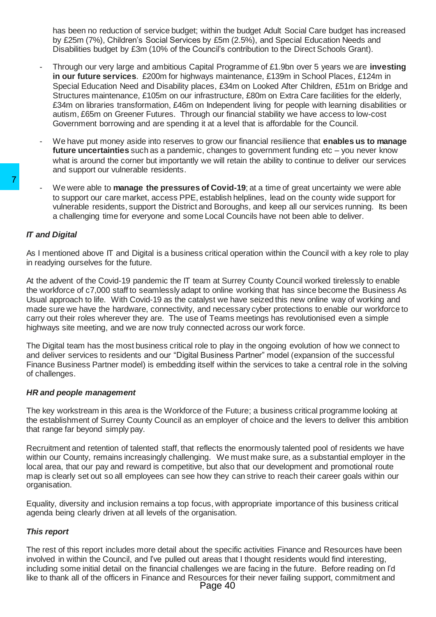has been no reduction of service budget; within the budget Adult Social Care budget has increased by £25m (7%), Children's Social Services by £5m (2.5%), and Special Education Needs and Disabilities budget by £3m (10% of the Council's contribution to the Direct Schools Grant).

- Through our very large and ambitious Capital Programme of £1.9bn over 5 years we are **investing in our future services**. £200m for highways maintenance, £139m in School Places, £124m in Special Education Need and Disability places, £34m on Looked After Children, £51m on Bridge and Structures maintenance, £105m on our infrastructure, £80m on Extra Care facilities for the elderly, £34m on libraries transformation, £46m on Independent living for people with learning disabilities or autism, £65m on Greener Futures. Through our financial stability we have access to low-cost Government borrowing and are spending it at a level that is affordable for the Council.
- We have put money aside into reserves to grow our financial resilience that **enables us to manage future uncertainties** such as a pandemic, changes to government funding etc – you never know what is around the corner but importantly we will retain the ability to continue to deliver our services and support our vulnerable residents.
- We were able to **manage the pressures of Covid-19**; at a time of great uncertainty we were able to support our care market, access PPE, establish helplines, lead on the county wide support for vulnerable residents, support the District and Boroughs, and keep all our services running. Its been a challenging time for everyone and some Local Councils have not been able to deliver.

### *IT and Digital*

As I mentioned above IT and Digital is a business critical operation within the Council with a key role to play in readying ourselves for the future.

At the advent of the Covid-19 pandemic the IT team at Surrey County Council worked tirelessly to enable the workforce of c7,000 staff to seamlessly adapt to online working that has since become the Business As Usual approach to life. With Covid-19 as the catalyst we have seized this new online way of working and made sure we have the hardware, connectivity, and necessary cyber protections to enable our workforce to carry out their roles wherever they are. The use of Teams meetings has revolutionised even a simple highways site meeting, and we are now truly connected across our work force. The weign able to manage the pressures of Covid<br>
to support our care market, access PPE, establish wulnerable residents, support the District and Borou<br>
a challenging time for everyone and some Local Comparison and an expe

The Digital team has the most business critical role to play in the ongoing evolution of how we connect to and deliver services to residents and our "Digital Business Partner" model (expansion of the successful Finance Business Partner model) is embedding itself within the services to take a central role in the solving of challenges.

#### *HR and people management*

The key workstream in this area is the Workforce of the Future; a business critical programme looking at the establishment of Surrey County Council as an employer of choice and the levers to deliver this ambition that range far beyond simply pay.

Recruitment and retention of talented staff, that reflects the enormously talented pool of residents we have within our County, remains increasingly challenging. We must make sure, as a substantial employer in the local area, that our pay and reward is competitive, but also that our development and promotional route map is clearly set out so all employees can see how they can strive to reach their career goals within our organisation.

Equality, diversity and inclusion remains a top focus, with appropriate importance of this business critical agenda being clearly driven at all levels of the organisation.

# *This report*

The rest of this report includes more detail about the specific activities Finance and Resources have been involved in within the Council, and I've pulled out areas that I thought residents would find interesting, including some initial detail on the financial challenges we are facing in the future. Before reading on I'd like to thank all of the officers in Finance and Resources for their never failing support, commitment and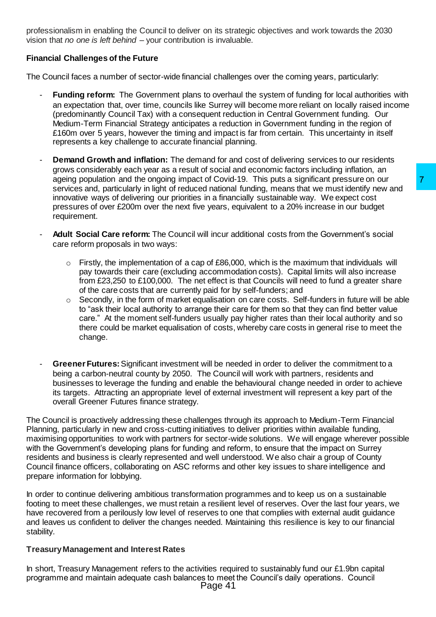professionalism in enabling the Council to deliver on its strategic objectives and work towards the 2030 vision that *no one is left behind* – your contribution is invaluable.

# **Financial Challenges of the Future**

The Council faces a number of sector-wide financial challenges over the coming years, particularly:

- **Funding reform:** The Government plans to overhaul the system of funding for local authorities with an expectation that, over time, councils like Surrey will become more reliant on locally raised income (predominantly Council Tax) with a consequent reduction in Central Government funding. Our Medium-Term Financial Strategy anticipates a reduction in Government funding in the region of £160m over 5 years, however the timing and impact is far from certain. This uncertainty in itself represents a key challenge to accurate financial planning.
- **Demand Growth and inflation:** The demand for and cost of delivering services to our residents grows considerably each year as a result of social and economic factors including inflation, an ageing population and the ongoing impact of Covid-19. This puts a significant pressure on our services and, particularly in light of reduced national funding, means that we must identify new and innovative ways of delivering our priorities in a financially sustainable way. We expect cost pressures of over £200m over the next five years, equivalent to a 20% increase in our budget requirement.
- **Adult Social Care reform:** The Council will incur additional costs from the Government's social care reform proposals in two ways:
	- $\circ$  Firstly, the implementation of a cap of £86,000, which is the maximum that individuals will pay towards their care (excluding accommodation costs). Capital limits will also increase from £23,250 to £100,000. The net effect is that Councils will need to fund a greater share of the care costs that are currently paid for by self-funders; and
	- $\circ$  Secondly, in the form of market equalisation on care costs. Self-funders in future will be able to "ask their local authority to arrange their care for them so that they can find better value care." At the moment self-funders usually pay higher rates than their local authority and so there could be market equalisation of costs, whereby care costs in general rise to meet the change.
- **Greener Futures:**Significant investment will be needed in order to deliver the commitment to a being a carbon-neutral county by 2050. The Council will work with partners, residents and businesses to leverage the funding and enable the behavioural change needed in order to achieve its targets. Attracting an appropriate level of external investment will represent a key part of the overall Greener Futures finance strategy.

The Council is proactively addressing these challenges through its approach to Medium-Term Financial Planning, particularly in new and cross-cutting initiatives to deliver priorities within available funding, maximising opportunities to work with partners for sector-wide solutions. We will engage wherever possible with the Government's developing plans for funding and reform, to ensure that the impact on Surrey residents and business is clearly represented and well understood. We also chair a group of County Council finance officers, collaborating on ASC reforms and other key issues to share intelligence and prepare information for lobbying. of Covid-19. This puts a significant pressure on our<br>of covid-19. This puts a significant pressure on our<br>be a data attacking, means that we must identify new and<br>in a financially sustainable way. We expect cost<br>e years, e

In order to continue delivering ambitious transformation programmes and to keep us on a sustainable footing to meet these challenges, we must retain a resilient level of reserves. Over the last four years, we have recovered from a perilously low level of reserves to one that complies with external audit guidance and leaves us confident to deliver the changes needed. Maintaining this resilience is key to our financial stability.

#### **Treasury Management and Interest Rates**

In short, Treasury Management refers to the activities required to sustainably fund our £1.9bn capital programme and maintain adequate cash balances to meet the Council's daily operations. Council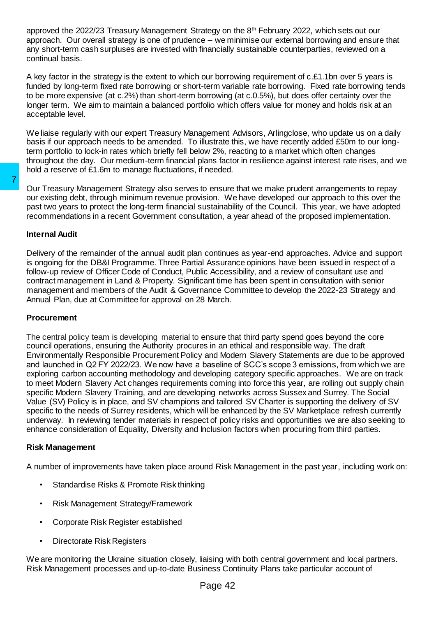approved the 2022/23 Treasury Management Strategy on the 8th February 2022, which sets out our approach. Our overall strategy is one of prudence – we minimise our external borrowing and ensure that any short-term cash surpluses are invested with financially sustainable counterparties, reviewed on a continual basis.

A key factor in the strategy is the extent to which our borrowing requirement of c.£1.1bn over 5 years is funded by long-term fixed rate borrowing or short-term variable rate borrowing. Fixed rate borrowing tends to be more expensive (at c.2%) than short-term borrowing (at c.0.5%), but does offer certainty over the longer term. We aim to maintain a balanced portfolio which offers value for money and holds risk at an acceptable level.

We liaise regularly with our expert Treasury Management Advisors, Arlingclose, who update us on a daily basis if our approach needs to be amended. To illustrate this, we have recently added £50m to our longterm portfolio to lock-in rates which briefly fell below 2%, reacting to a market which often changes throughout the day. Our medium-term financial plans factor in resilience against interest rate rises, and we hold a reserve of £1.6m to manage fluctuations, if needed.

Our Treasury Management Strategy also serves to ensure that we make prudent arrangements to repay our existing debt, through minimum revenue provision. We have developed our approach to this over the past two years to protect the long-term financial sustainability of the Council. This year, we have adopted recommendations in a recent Government consultation, a year ahead of the proposed implementation.

#### **Internal Audit**

Delivery of the remainder of the annual audit plan continues as year-end approaches. Advice and support is ongoing for the DB&I Programme. Three Partial Assurance opinions have been issued in respect of a follow-up review of Officer Code of Conduct, Public Accessibility, and a review of consultant use and contract management in Land & Property. Significant time has been spent in consultation with senior management and members of the Audit & Governance Committee to develop the 2022-23 Strategy and Annual Plan, due at Committee for approval on 28 March.

#### **Procurement**

The central policy team is developing material to ensure that third party spend goes beyond the core council operations, ensuring the Authority procures in an ethical and responsible way. The draft Environmentally Responsible Procurement Policy and Modern Slavery Statements are due to be approved and launched in Q2 FY 2022/23. We now have a baseline of SCC's scope 3 emissions, from which we are exploring carbon accounting methodology and developing category specific approaches. We are on track to meet Modern Slavery Act changes requirements coming into force this year, are rolling out supply chain specific Modern Slavery Training, and are developing networks across Sussex and Surrey. The Social Value (SV) Policy is in place, and SV champions and tailored SV Charter is supporting the delivery of SV specific to the needs of Surrey residents, which will be enhanced by the SV Marketplace refresh currently underway. In reviewing tender materials in respect of policy risks and opportunities we are also seeking to enhance consideration of Equality, Diversity and Inclusion factors when procuring from third parties. Total Treasury Management Strategy also serves to ensure<br>our existing debt, through minimum revenue provision. We<br>past two years to protect the long-term financial sustainabil<br>recommendations in a recent Government consult

#### **Risk Management**

A number of improvements have taken place around Risk Management in the past year, including work on:

- Standardise Risks & Promote Risk thinking
- Risk Management Strategy/Framework
- Corporate Risk Register established
- Directorate Risk Registers

We are monitoring the Ukraine situation closely, liaising with both central government and local partners. Risk Management processes and up-to-date Business Continuity Plans take particular account of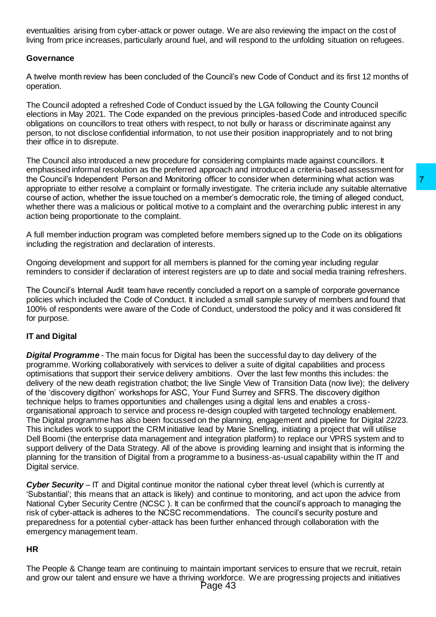eventualities arising from cyber-attack or power outage. We are also reviewing the impact on the cost of living from price increases, particularly around fuel, and will respond to the unfolding situation on refugees.

### **Governance**

A twelve month review has been concluded of the Council's new Code of Conduct and its first 12 months of operation.

The Council adopted a refreshed Code of Conduct issued by the LGA following the County Council elections in May 2021. The Code expanded on the previous principles-based Code and introduced specific obligations on councillors to treat others with respect, to not bully or harass or discriminate against any person, to not disclose confidential information, to not use their position inappropriately and to not bring their office in to disrepute.

The Council also introduced a new procedure for considering complaints made against councillors. It emphasised informal resolution as the preferred approach and introduced a criteria-based assessment for the Council's Independent Person and Monitoring officer to consider when determining what action was appropriate to either resolve a complaint or formally investigate. The criteria include any suitable alternative course of action, whether the issue touched on a member's democratic role, the timing of alleged conduct, whether there was a malicious or political motive to a complaint and the overarching public interest in any action being proportionate to the complaint.

A full member induction program was completed before members signed up to the Code on its obligations including the registration and declaration of interests.

Ongoing development and support for all members is planned for the coming year including regular reminders to consider if declaration of interest registers are up to date and social media training refreshers.

The Council's Internal Audit team have recently concluded a report on a sample of corporate governance policies which included the Code of Conduct. It included a small sample survey of members and found that 100% of respondents were aware of the Code of Conduct, understood the policy and it was considered fit for purpose.

# **IT and Digital**

*Digital Programme* - The main focus for Digital has been the successful day to day delivery of the programme. Working collaboratively with services to deliver a suite of digital capabilities and process optimisations that support their service delivery ambitions. Over the last few months this includes: the delivery of the new death registration chatbot; the live Single View of Transition Data (now live); the delivery of the 'discovery digithon' workshops for ASC, Your Fund Surrey and SFRS. The discovery digithon technique helps to frames opportunities and challenges using a digital lens and enables a crossorganisational approach to service and process re-design coupled with targeted technology enablement. The Digital programme has also been focussed on the planning, engagement and pipeline for Digital 22/23. This includes work to support the CRM initiative lead by Marie Snelling, initiating a project that will utilise Dell Boomi (the enterprise data management and integration platform) to replace our VPRS system and to support delivery of the Data Strategy. All of the above is providing learning and insight that is informing the planning for the transition of Digital from a programme to a business-as-usual capability within the IT and Digital service. officer to consider when determining what action was<br>Influential consider when determining what action was<br>Interactional constrained any suitable alternative<br>member's democratic role, the timing of alleged conduct,<br>to a co

*Cyber Security* – IT and Digital continue monitor the national cyber threat level (which is currently at 'Substantial'; this means that an attack is likely) and continue to monitoring, and act upon the advice from National Cyber Security Centre (NCSC ). It can be confirmed that the council's approach to managing the risk of cyber-attack is adheres to the NCSC recommendations. The council's security posture and preparedness for a potential cyber-attack has been further enhanced through collaboration with the emergency management team.

#### **HR**

The People & Change team are continuing to maintain important services to ensure that we recruit, retain and grow our talent and ensure we have a thriving workforce. We are progressing projects and initiatives